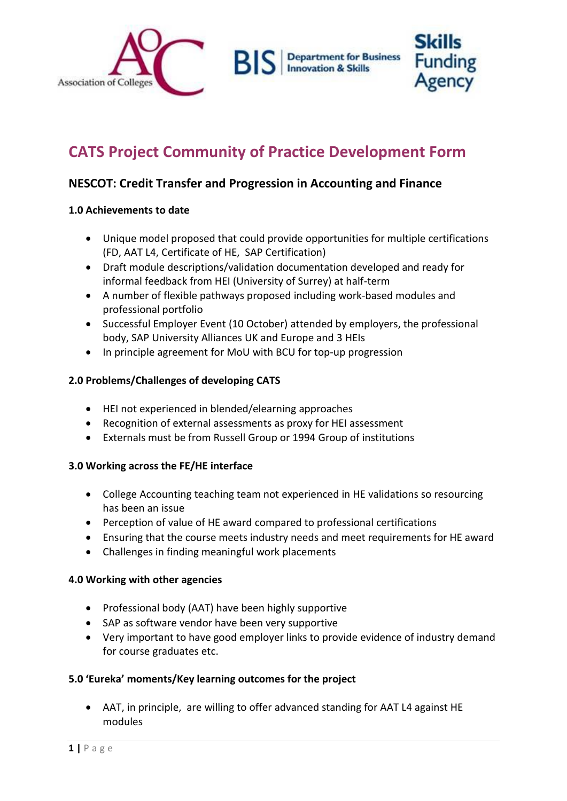

# **CATS Project Community of Practice Development Form**

# **NESCOT: Credit Transfer and Progression in Accounting and Finance**

#### **1.0 Achievements to date**

- Unique model proposed that could provide opportunities for multiple certifications (FD, AAT L4, Certificate of HE, SAP Certification)
- Draft module descriptions/validation documentation developed and ready for informal feedback from HEI (University of Surrey) at half-term
- A number of flexible pathways proposed including work-based modules and professional portfolio
- Successful Employer Event (10 October) attended by employers, the professional body, SAP University Alliances UK and Europe and 3 HEIs
- In principle agreement for MoU with BCU for top-up progression

## **2.0 Problems/Challenges of developing CATS**

- HEI not experienced in blended/elearning approaches
- Recognition of external assessments as proxy for HEI assessment
- Externals must be from Russell Group or 1994 Group of institutions

## **3.0 Working across the FE/HE interface**

- College Accounting teaching team not experienced in HE validations so resourcing has been an issue
- Perception of value of HE award compared to professional certifications
- Ensuring that the course meets industry needs and meet requirements for HE award
- Challenges in finding meaningful work placements

## **4.0 Working with other agencies**

- Professional body (AAT) have been highly supportive
- SAP as software vendor have been very supportive
- Very important to have good employer links to provide evidence of industry demand for course graduates etc.

## **5.0 'Eureka' moments/Key learning outcomes for the project**

 AAT, in principle, are willing to offer advanced standing for AAT L4 against HE modules